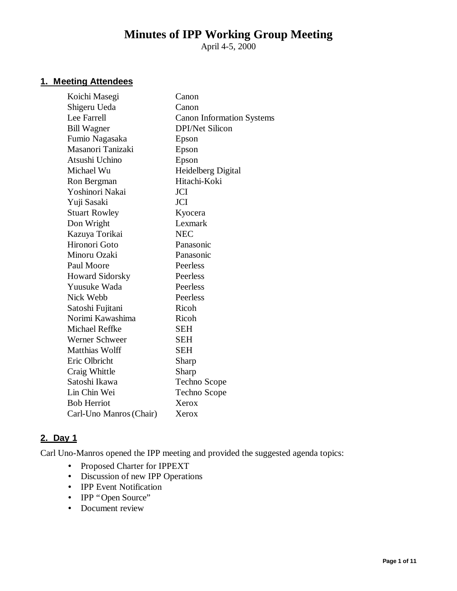# **Minutes of IPP Working Group Meeting**

April 4-5, 2000

#### **1. Meeting Attendees**

| Koichi Masegi           | Canon                            |
|-------------------------|----------------------------------|
| Shigeru Ueda            | Canon                            |
| Lee Farrell             | <b>Canon Information Systems</b> |
| <b>Bill Wagner</b>      | <b>DPI/Net Silicon</b>           |
| Fumio Nagasaka          | Epson                            |
| Masanori Tanizaki       | Epson                            |
| Atsushi Uchino          | Epson                            |
| Michael Wu              | Heidelberg Digital               |
| Ron Bergman             | Hitachi-Koki                     |
| Yoshinori Nakai         | <b>JCI</b>                       |
| Yuji Sasaki             | <b>JCI</b>                       |
| <b>Stuart Rowley</b>    | Kyocera                          |
| Don Wright              | Lexmark                          |
| Kazuya Torikai          | <b>NEC</b>                       |
| Hironori Goto           | Panasonic                        |
| Minoru Ozaki            | Panasonic                        |
| Paul Moore              | Peerless                         |
| <b>Howard Sidorsky</b>  | Peerless                         |
| Yuusuke Wada            | Peerless                         |
| Nick Webb               | Peerless                         |
| Satoshi Fujitani        | Ricoh                            |
| Norimi Kawashima        | Ricoh                            |
| <b>Michael Reffke</b>   | <b>SEH</b>                       |
| Werner Schweer          | <b>SEH</b>                       |
| <b>Matthias Wolff</b>   | <b>SEH</b>                       |
| Eric Olbricht           | Sharp                            |
| Craig Whittle           | Sharp                            |
| Satoshi Ikawa           | Techno Scope                     |
| Lin Chin Wei            | Techno Scope                     |
| <b>Bob Herriot</b>      | Xerox                            |
| Carl-Uno Manros (Chair) | Xerox                            |
|                         |                                  |

# **2. Day 1**

Carl Uno-Manros opened the IPP meeting and provided the suggested agenda topics:

- Proposed Charter for IPPEXT
- Discussion of new IPP Operations
- **IPP Event Notification**
- IPP "Open Source"
- Document review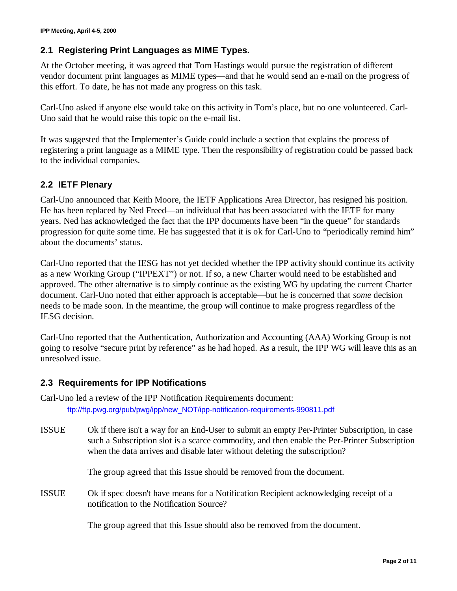# **2.1 Registering Print Languages as MIME Types.**

At the October meeting, it was agreed that Tom Hastings would pursue the registration of different vendor document print languages as MIME types— and that he would send an e-mail on the progress of this effort. To date, he has not made any progress on this task.

Carl-Uno asked if anyone else would take on this activity in Tom's place, but no one volunteered. Carl-Uno said that he would raise this topic on the e-mail list.

It was suggested that the Implementer's Guide could include a section that explains the process of registering a print language as a MIME type. Then the responsibility of registration could be passed back to the individual companies.

# **2.2 IETF Plenary**

Carl-Uno announced that Keith Moore, the IETF Applications Area Director, has resigned his position. He has been replaced by Ned Freed— an individual that has been associated with the IETF for many years. Ned has acknowledged the fact that the IPP documents have been "in the queue" for standards progression for quite some time. He has suggested that it is ok for Carl-Uno to "periodically remind him" about the documents' status.

Carl-Uno reported that the IESG has not yet decided whether the IPP activity should continue its activity as a new Working Group ("IPPEXT") or not. If so, a new Charter would need to be established and approved. The other alternative is to simply continue as the existing WG by updating the current Charter document. Carl-Uno noted that either approach is acceptable— but he is concerned that *some* decision needs to be made soon. In the meantime, the group will continue to make progress regardless of the IESG decision.

Carl-Uno reported that the Authentication, Authorization and Accounting (AAA) Working Group is not going to resolve "secure print by reference" as he had hoped. As a result, the IPP WG will leave this as an unresolved issue.

## **2.3 Requirements for IPP Notifications**

Carl-Uno led a review of the IPP Notification Requirements document: ftp://ftp.pwg.org/pub/pwg/ipp/new\_NOT/ipp-notification-requirements-990811.pdf

ISSUE Ok if there isn't a way for an End-User to submit an empty Per-Printer Subscription, in case such a Subscription slot is a scarce commodity, and then enable the Per-Printer Subscription when the data arrives and disable later without deleting the subscription?

The group agreed that this Issue should be removed from the document.

ISSUE Ok if spec doesn't have means for a Notification Recipient acknowledging receipt of a notification to the Notification Source?

The group agreed that this Issue should also be removed from the document.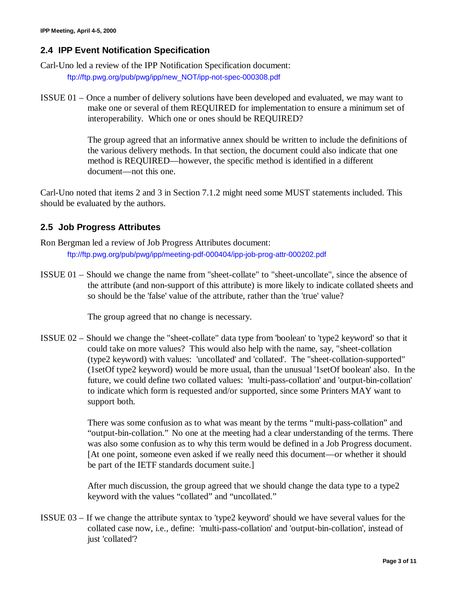## **2.4 IPP Event Notification Specification**

Carl-Uno led a review of the IPP Notification Specification document:

ftp://ftp.pwg.org/pub/pwg/ipp/new\_NOT/ipp-not-spec-000308.pdf

ISSUE 01 – Once a number of delivery solutions have been developed and evaluated, we may want to make one or several of them REQUIRED for implementation to ensure a minimum set of interoperability. Which one or ones should be REQUIRED?

> The group agreed that an informative annex should be written to include the definitions of the various delivery methods. In that section, the document could also indicate that one method is REQUIRED— however, the specific method is identified in a different document— not this one.

Carl-Uno noted that items 2 and 3 in Section 7.1.2 might need some MUST statements included. This should be evaluated by the authors.

## **2.5 Job Progress Attributes**

Ron Bergman led a review of Job Progress Attributes document: ftp://ftp.pwg.org/pub/pwg/ipp/meeting-pdf-000404/ipp-job-prog-attr-000202.pdf

ISSUE 01 – Should we change the name from "sheet-collate" to "sheet-uncollate", since the absence of the attribute (and non-support of this attribute) is more likely to indicate collated sheets and so should be the 'false' value of the attribute, rather than the 'true' value?

The group agreed that no change is necessary.

ISSUE 02 – Should we change the "sheet-collate" data type from 'boolean' to 'type2 keyword' so that it could take on more values? This would also help with the name, say, "sheet-collation (type2 keyword) with values: 'uncollated' and 'collated'. The "sheet-collation-supported" (1setOf type2 keyword) would be more usual, than the unusual '1setOf boolean' also. In the future, we could define two collated values: 'multi-pass-collation' and 'output-bin-collation' to indicate which form is requested and/or supported, since some Printers MAY want to support both.

> There was some confusion as to what was meant by the terms "multi-pass-collation" and "output-bin-collation." No one at the meeting had a clear understanding of the terms. There was also some confusion as to why this term would be defined in a Job Progress document. [At one point, someone even asked if we really need this document— or whether it should be part of the IETF standards document suite.]

After much discussion, the group agreed that we should change the data type to a type2 keyword with the values "collated" and "uncollated."

ISSUE 03 – If we change the attribute syntax to 'type2 keyword' should we have several values for the collated case now, i.e., define: 'multi-pass-collation' and 'output-bin-collation', instead of just 'collated'?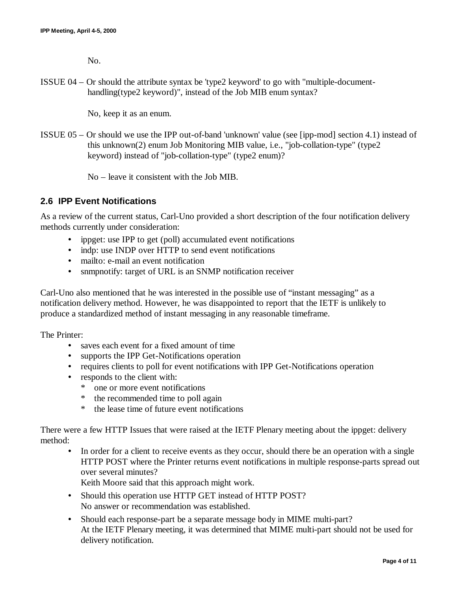No.

ISSUE 04 – Or should the attribute syntax be 'type2 keyword' to go with "multiple-documenthandling(type2 keyword)", instead of the Job MIB enum syntax?

No, keep it as an enum.

ISSUE 05 – Or should we use the IPP out-of-band 'unknown' value (see [ipp-mod] section 4.1) instead of this unknown(2) enum Job Monitoring MIB value, i.e., "job-collation-type" (type2 keyword) instead of "job-collation-type" (type2 enum)?

No – leave it consistent with the Job MIB.

## **2.6 IPP Event Notifications**

As a review of the current status, Carl-Uno provided a short description of the four notification delivery methods currently under consideration:

- ippget: use IPP to get (poll) accumulated event notifications
- indp: use INDP over HTTP to send event notifications
- mailto: e-mail an event notification
- snmpnotify: target of URL is an SNMP notification receiver

Carl-Uno also mentioned that he was interested in the possible use of "instant messaging" as a notification delivery method. However, he was disappointed to report that the IETF is unlikely to produce a standardized method of instant messaging in any reasonable timeframe.

The Printer:

- saves each event for a fixed amount of time
- supports the IPP Get-Notifications operation
- requires clients to poll for event notifications with IPP Get-Notifications operation
- responds to the client with:
	- \* one or more event notifications
	- \* the recommended time to poll again
	- \* the lease time of future event notifications

There were a few HTTP Issues that were raised at the IETF Plenary meeting about the ippget: delivery method:

• In order for a client to receive events as they occur, should there be an operation with a single HTTP POST where the Printer returns event notifications in multiple response-parts spread out over several minutes?

Keith Moore said that this approach might work.

- Should this operation use HTTP GET instead of HTTP POST? No answer or recommendation was established.
- Should each response-part be a separate message body in MIME multi-part? At the IETF Plenary meeting, it was determined that MIME multi-part should not be used for delivery notification.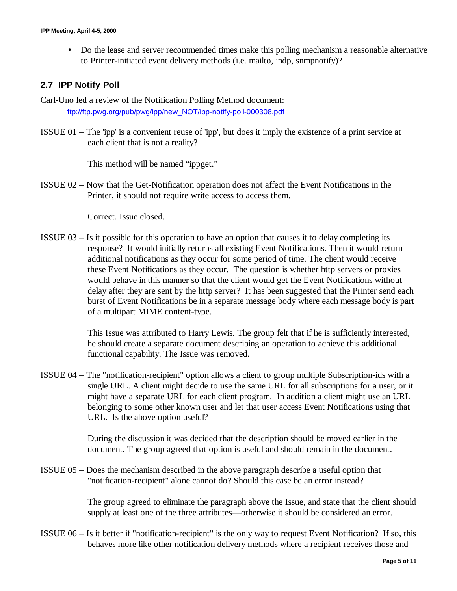• Do the lease and server recommended times make this polling mechanism a reasonable alternative to Printer-initiated event delivery methods (i.e. mailto, indp, snmpnotify)?

#### **2.7 IPP Notify Poll**

- Carl-Uno led a review of the Notification Polling Method document: ftp://ftp.pwg.org/pub/pwg/ipp/new\_NOT/ipp-notify-poll-000308.pdf
- ISSUE 01 The 'ipp' is a convenient reuse of 'ipp', but does it imply the existence of a print service at each client that is not a reality?

This method will be named "ippget."

ISSUE 02 – Now that the Get-Notification operation does not affect the Event Notifications in the Printer, it should not require write access to access them.

Correct. Issue closed.

ISSUE 03 – Is it possible for this operation to have an option that causes it to delay completing its response? It would initially returns all existing Event Notifications. Then it would return additional notifications as they occur for some period of time. The client would receive these Event Notifications as they occur. The question is whether http servers or proxies would behave in this manner so that the client would get the Event Notifications without delay after they are sent by the http server? It has been suggested that the Printer send each burst of Event Notifications be in a separate message body where each message body is part of a multipart MIME content-type.

> This Issue was attributed to Harry Lewis. The group felt that if he is sufficiently interested, he should create a separate document describing an operation to achieve this additional functional capability. The Issue was removed.

ISSUE 04 – The "notification-recipient" option allows a client to group multiple Subscription-ids with a single URL. A client might decide to use the same URL for all subscriptions for a user, or it might have a separate URL for each client program. In addition a client might use an URL belonging to some other known user and let that user access Event Notifications using that URL. Is the above option useful?

> During the discussion it was decided that the description should be moved earlier in the document. The group agreed that option is useful and should remain in the document.

ISSUE 05 – Does the mechanism described in the above paragraph describe a useful option that "notification-recipient" alone cannot do? Should this case be an error instead?

> The group agreed to eliminate the paragraph above the Issue, and state that the client should supply at least one of the three attributes— otherwise it should be considered an error.

ISSUE 06 – Is it better if "notification-recipient" is the only way to request Event Notification? If so, this behaves more like other notification delivery methods where a recipient receives those and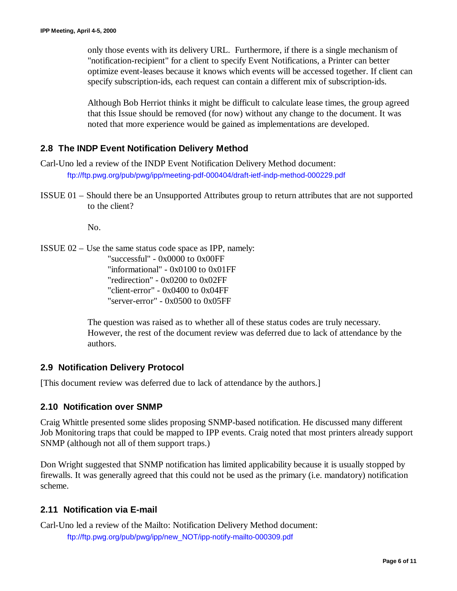only those events with its delivery URL. Furthermore, if there is a single mechanism of "notification-recipient" for a client to specify Event Notifications, a Printer can better optimize event-leases because it knows which events will be accessed together. If client can specify subscription-ids, each request can contain a different mix of subscription-ids.

Although Bob Herriot thinks it might be difficult to calculate lease times, the group agreed that this Issue should be removed (for now) without any change to the document. It was noted that more experience would be gained as implementations are developed.

## **2.8 The INDP Event Notification Delivery Method**

Carl-Uno led a review of the INDP Event Notification Delivery Method document: ftp://ftp.pwg.org/pub/pwg/ipp/meeting-pdf-000404/draft-ietf-indp-method-000229.pdf

ISSUE 01 – Should there be an Unsupported Attributes group to return attributes that are not supported to the client?

No.

ISSUE 02 – Use the same status code space as IPP, namely: "successful" - 0x0000 to 0x00FF "informational" - 0x0100 to 0x01FF "redirection" - 0x0200 to 0x02FF "client-error" - 0x0400 to 0x04FF "server-error" - 0x0500 to 0x05FF

> The question was raised as to whether all of these status codes are truly necessary. However, the rest of the document review was deferred due to lack of attendance by the authors.

## **2.9 Notification Delivery Protocol**

[This document review was deferred due to lack of attendance by the authors.]

## **2.10 Notification over SNMP**

Craig Whittle presented some slides proposing SNMP-based notification. He discussed many different Job Monitoring traps that could be mapped to IPP events. Craig noted that most printers already support SNMP (although not all of them support traps.)

Don Wright suggested that SNMP notification has limited applicability because it is usually stopped by firewalls. It was generally agreed that this could not be used as the primary (i.e. mandatory) notification scheme.

## **2.11 Notification via E-mail**

Carl-Uno led a review of the Mailto: Notification Delivery Method document: ftp://ftp.pwg.org/pub/pwg/ipp/new\_NOT/ipp-notify-mailto-000309.pdf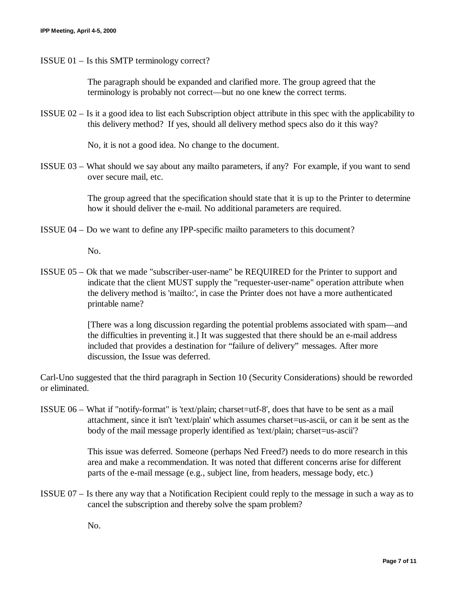ISSUE 01 – Is this SMTP terminology correct?

The paragraph should be expanded and clarified more. The group agreed that the terminology is probably not correct— but no one knew the correct terms.

ISSUE 02 – Is it a good idea to list each Subscription object attribute in this spec with the applicability to this delivery method? If yes, should all delivery method specs also do it this way?

No, it is not a good idea. No change to the document.

ISSUE 03 – What should we say about any mailto parameters, if any? For example, if you want to send over secure mail, etc.

> The group agreed that the specification should state that it is up to the Printer to determine how it should deliver the e-mail. No additional parameters are required.

ISSUE 04 – Do we want to define any IPP-specific mailto parameters to this document?

No.

ISSUE 05 – Ok that we made "subscriber-user-name" be REQUIRED for the Printer to support and indicate that the client MUST supply the "requester-user-name" operation attribute when the delivery method is 'mailto:', in case the Printer does not have a more authenticated printable name?

> [There was a long discussion regarding the potential problems associated with spam— and the difficulties in preventing it.] It was suggested that there should be an e-mail address included that provides a destination for "failure of delivery" messages. After more discussion, the Issue was deferred.

Carl-Uno suggested that the third paragraph in Section 10 (Security Considerations) should be reworded or eliminated.

ISSUE 06 – What if "notify-format" is 'text/plain; charset=utf-8', does that have to be sent as a mail attachment, since it isn't 'text/plain' which assumes charset=us-ascii, or can it be sent as the body of the mail message properly identified as 'text/plain; charset=us-ascii'?

> This issue was deferred. Someone (perhaps Ned Freed?) needs to do more research in this area and make a recommendation. It was noted that different concerns arise for different parts of the e-mail message (e.g., subject line, from headers, message body, etc.)

ISSUE 07 – Is there any way that a Notification Recipient could reply to the message in such a way as to cancel the subscription and thereby solve the spam problem?

No.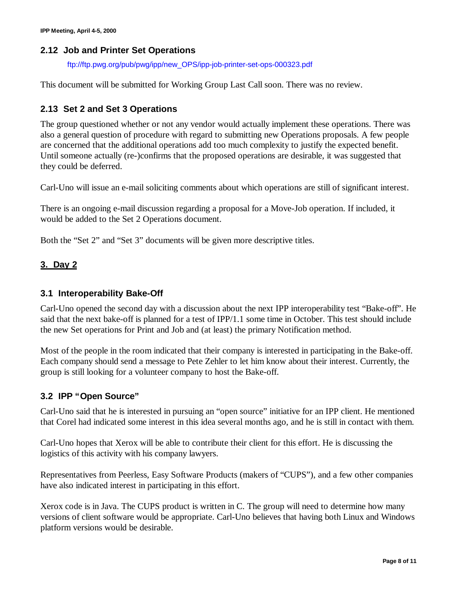#### **2.12 Job and Printer Set Operations**

ftp://ftp.pwg.org/pub/pwg/ipp/new\_OPS/ipp-job-printer-set-ops-000323.pdf

This document will be submitted for Working Group Last Call soon. There was no review.

## **2.13 Set 2 and Set 3 Operations**

The group questioned whether or not any vendor would actually implement these operations. There was also a general question of procedure with regard to submitting new Operations proposals. A few people are concerned that the additional operations add too much complexity to justify the expected benefit. Until someone actually (re-)confirms that the proposed operations are desirable, it was suggested that they could be deferred.

Carl-Uno will issue an e-mail soliciting comments about which operations are still of significant interest.

There is an ongoing e-mail discussion regarding a proposal for a Move-Job operation. If included, it would be added to the Set 2 Operations document.

Both the "Set 2" and "Set 3" documents will be given more descriptive titles.

## **3. Day 2**

#### **3.1 Interoperability Bake-Off**

Carl-Uno opened the second day with a discussion about the next IPP interoperability test "Bake-off". He said that the next bake-off is planned for a test of IPP/1.1 some time in October. This test should include the new Set operations for Print and Job and (at least) the primary Notification method.

Most of the people in the room indicated that their company is interested in participating in the Bake-off. Each company should send a message to Pete Zehler to let him know about their interest. Currently, the group is still looking for a volunteer company to host the Bake-off.

## **3.2 IPP "Open Source"**

Carl-Uno said that he is interested in pursuing an "open source" initiative for an IPP client. He mentioned that Corel had indicated some interest in this idea several months ago, and he is still in contact with them.

Carl-Uno hopes that Xerox will be able to contribute their client for this effort. He is discussing the logistics of this activity with his company lawyers.

Representatives from Peerless, Easy Software Products (makers of "CUPS"), and a few other companies have also indicated interest in participating in this effort.

Xerox code is in Java. The CUPS product is written in C. The group will need to determine how many versions of client software would be appropriate. Carl-Uno believes that having both Linux and Windows platform versions would be desirable.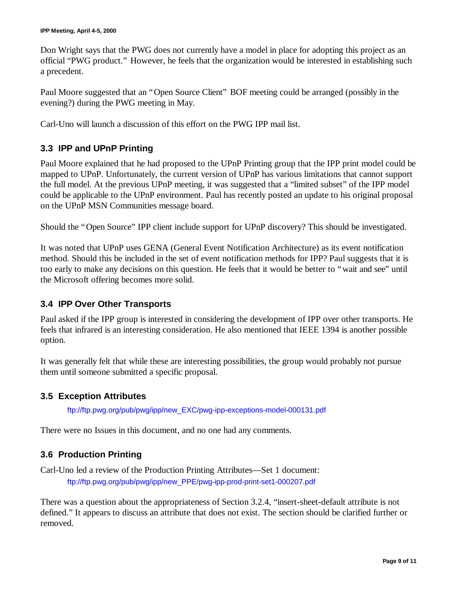Don Wright says that the PWG does not currently have a model in place for adopting this project as an official "PWG product." However, he feels that the organization would be interested in establishing such a precedent.

Paul Moore suggested that an "Open Source Client" BOF meeting could be arranged (possibly in the evening?) during the PWG meeting in May.

Carl-Uno will launch a discussion of this effort on the PWG IPP mail list.

# **3.3 IPP and UPnP Printing**

Paul Moore explained that he had proposed to the UPnP Printing group that the IPP print model could be mapped to UPnP. Unfortunately, the current version of UPnP has various limitations that cannot support the full model. At the previous UPnP meeting, it was suggested that a "limited subset" of the IPP model could be applicable to the UPnP environment. Paul has recently posted an update to his original proposal on the UPnP MSN Communities message board.

Should the "Open Source" IPP client include support for UPnP discovery? This should be investigated.

It was noted that UPnP uses GENA (General Event Notification Architecture) as its event notification method. Should this be included in the set of event notification methods for IPP? Paul suggests that it is too early to make any decisions on this question. He feels that it would be better to "wait and see" until the Microsoft offering becomes more solid.

## **3.4 IPP Over Other Transports**

Paul asked if the IPP group is interested in considering the development of IPP over other transports. He feels that infrared is an interesting consideration. He also mentioned that IEEE 1394 is another possible option.

It was generally felt that while these are interesting possibilities, the group would probably not pursue them until someone submitted a specific proposal.

## **3.5 Exception Attributes**

ftp://ftp.pwg.org/pub/pwg/ipp/new\_EXC/pwg-ipp-exceptions-model-000131.pdf

There were no Issues in this document, and no one had any comments.

## **3.6 Production Printing**

Carl-Uno led a review of the Production Printing Attributes— Set 1 document: ftp://ftp.pwg.org/pub/pwg/ipp/new\_PPE/pwg-ipp-prod-print-set1-000207.pdf

There was a question about the appropriateness of Section 3.2.4, "insert-sheet-default attribute is not defined." It appears to discuss an attribute that does not exist. The section should be clarified further or removed.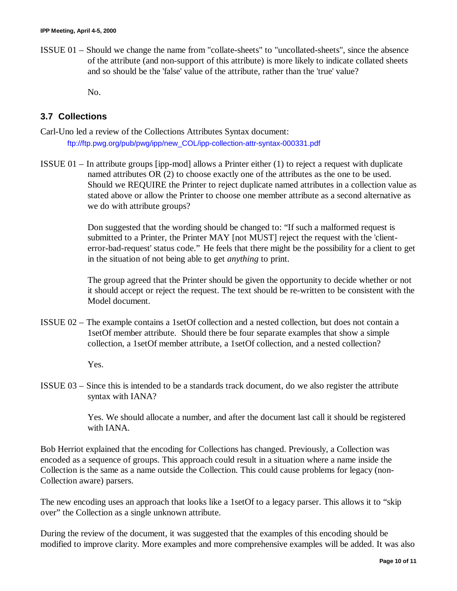ISSUE 01 – Should we change the name from "collate-sheets" to "uncollated-sheets", since the absence of the attribute (and non-support of this attribute) is more likely to indicate collated sheets and so should be the 'false' value of the attribute, rather than the 'true' value?

No.

## **3.7 Collections**

Carl-Uno led a review of the Collections Attributes Syntax document: ftp://ftp.pwg.org/pub/pwg/ipp/new\_COL/ipp-collection-attr-syntax-000331.pdf

ISSUE 01 – In attribute groups [ipp-mod] allows a Printer either (1) to reject a request with duplicate named attributes OR (2) to choose exactly one of the attributes as the one to be used. Should we REQUIRE the Printer to reject duplicate named attributes in a collection value as stated above or allow the Printer to choose one member attribute as a second alternative as we do with attribute groups?

> Don suggested that the wording should be changed to: "If such a malformed request is submitted to a Printer, the Printer MAY [not MUST] reject the request with the 'clienterror-bad-request' status code." He feels that there might be the possibility for a client to get in the situation of not being able to get *anything* to print.

> The group agreed that the Printer should be given the opportunity to decide whether or not it should accept or reject the request. The text should be re-written to be consistent with the Model document.

ISSUE 02 – The example contains a 1setOf collection and a nested collection, but does not contain a 1setOf member attribute. Should there be four separate examples that show a simple collection, a 1setOf member attribute, a 1setOf collection, and a nested collection?

Yes.

ISSUE 03 – Since this is intended to be a standards track document, do we also register the attribute syntax with IANA?

> Yes. We should allocate a number, and after the document last call it should be registered with IANA.

Bob Herriot explained that the encoding for Collections has changed. Previously, a Collection was encoded as a sequence of groups. This approach could result in a situation where a name inside the Collection is the same as a name outside the Collection. This could cause problems for legacy (non-Collection aware) parsers.

The new encoding uses an approach that looks like a 1setOf to a legacy parser. This allows it to "skip over" the Collection as a single unknown attribute.

During the review of the document, it was suggested that the examples of this encoding should be modified to improve clarity. More examples and more comprehensive examples will be added. It was also